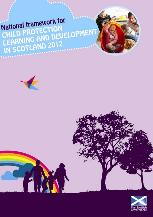# CHILD PROTECTION<br>LEARNING AND DEVELOPMENT<br>IN SCOTLAND 2012 National framework for



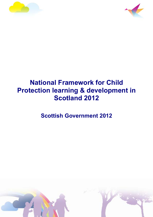



# **National Framework for Child Protection learning & development in Scotland 2012**

**Scottish Government 2012** 

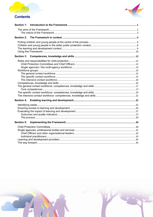# **Contents**



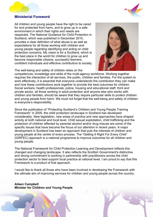#### **Ministerial Foreword**

All children and young people have the right to be cared for and protected from harm, and to grow up in a safe environment in which their rights and needs are respected. The National Guidance for Child Protection in Scotland, which was published in December 2010, provides a clear definition of what abuse is as well as expectations for all those working with children and young people regarding identifying and acting on child protection concerns. My vision is for a Scotland, which is the best place in the world for children to grow up and become responsible citizens, successful learners, confident individuals and effective contributors to society.



The well-being and safety of children relies on the competences, knowledge and skills of the multi-agency workforce. Working together requires the interaction of all services, the public, children and families. For the system to work effectively, it is essential that everyone understands the contribution they can make and how these contributions work together to provide the best outcomes for children. Social workers, health professionals, police, housing and educational staff, third and private sector, all those working in adult protection and anyone else who works with children and families, should be aware that they require particular skills to protect children and young people from harm. We must not forget that the well-being and safety of children is everyone's responsibility.

Since the publication of "Protecting Scotland's Children and Young People Training Framework" in 2005, the child protection landscape in Scotland has developed considerably. New legislation, new areas of practice and new approaches have shaped activity at both national and local level. Child sexual exploitation, child trafficking and the protection of children affected by parental alcohol and/or drug misuse are some of the specific issues that have become the focus of our attention in recent years. A major development in Scotland has been an approach that puts the interests of children and young people at the centre of every process. The "Getting It Right For Every Child" (GIRFEC) approach is a national programme to improve outcomes for all children and young people.

The National Framework for Child Protection Learning and Development reflects this changed and changing landscape. It also reflects the Scottish Government's distinctive and strong commitment to working in partnership with practitioners across the child protection sector to best support local practice at national level. I am proud to say that this Framework is a product of that approach.

I would like to thank all those who have been involved in developing the Framework with the ultimate aim of improving services for children and young people across the country.

**Aileen Campbell Minister for Children and Young People**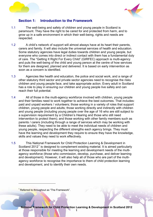<span id="page-4-0"></span>



# **Section 1: Introduction to the Framework**

- 1.1 The well-being and safety of children and young people in Scotland is paramount. They have the right to be cared for and protected from harm, and to grow up in a safe environment in which their well-being, rights and needs are respected.
- 1.2 A child's network of support will almost always have at its heart their parents, carers and family. It will also include the universal services of health and education. Some statutory agencies have legal duties towards children and young people, but everyone who comes into direct or indirect contact with them has a fundamental duty of care. The "Getting It Right For Every Child" (GIRFEC) approach is multi-agency and puts the well-being of the child and young person at the centre of how services for them are designed, planned and delivered. It is based on early intervention as soon as a concern is identified.
- 1.3 Agencies like health and education, the police and social work, and a range of other statutory third sector and private sector agencies need to recognise the risks children and young people face, and take appropriate action. Every adult in Scotland has a role to play in ensuring our children and young people live safely and can reach their full potential.
- 1.4 All of those in the multi-agency workforce involved with children, young people and their families need to work together to achieve the best outcomes. That includes: paid and unpaid workers / volunteers; those working in a variety of roles that support children, young people and adults; those working directly and indirectly with children and young people (including young people over the age of 16 who are still subject to a supervision requirement by a Children's Hearing and those who still need intervention to protect them); and those working with other family members such as parents / carers (including through a range of services which may be working with these adults). They need to be able to meet the individual needs of children and young people, respecting the different strengths each agency brings. They must have the learning and development they require to ensure they have the knowledge, skills and values they need to work effectively.
- 1.5 This National Framework for Child Protection Learning & Development in Scotland 20[1](#page-4-1)2<sup>1</sup> is designed to complement existing material. It is aimed particularly at those responsible for meeting the learning and development needs of the multiagency workforce (those who commission, develop, purchase, and deliver learning and development). However, it will also help all of those who are part of the multiagency workforce to recognise the importance to them of child protection learning and development, and to identify their own needs.

<span id="page-4-1"></span><sup>1</sup> Referred to throughout as "The Framework".

 $\overline{a}$ 

**National Framework for Child Protection Learning & Development in Scotland 2012**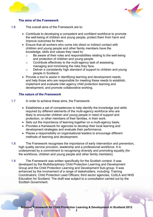<span id="page-5-0"></span>



#### **The aims of the Framework**

- 1.6 The overall aims of the Framework are to:
	- Contribute to developing a competent and confident workforce to promote the well-being of children and young people, protect them from harm and improve outcomes for them.
	- Ensure that all workers who come into direct or indirect contact with children and young people and other family members have the knowledge, skills and values they need to:
		- o Be aware of their roles and responsibilities relating to the well-being and protection of children and young people.
		- o Contribute effectively to the multi-agency task of assessing, managing and minimising the risks they face.
		- o Deliver a consistently high standard of support to children and young people in Scotland.
	- Provide a tool to assist in identifying learning and development needs, and help those who are responsible for meeting these needs to establish, implement and evaluate inter-agency child protection learning and development, and promote collaborative working.

#### *The nature of the Framework*

- 1.7 In order to achieve these aims, the Framework:
	- Establishes a set of competences to help identify the knowledge and skills required by different elements of the multi-agency workforce who are likely to encounter children and young people in need of support and protection, or other members of their families, in their work.
	- Sets out the importance of learning together on a multi-agency basis.
	- Provides a framework for agencies to develop their local learning and development strategies and evaluate their performance.
	- Places a responsibility on organisational leaders to encourage different methods of learning and development.
- 1.8 The Framework recognises the importance of early intervention and prevention, high quality service provision, leadership and a professional workforce. It is underpinned by a commitment to recognising diversity and promoting equality (for the workforce, children and young people and other family members).
- 1.9 The Framework was written specifically for the Scottish context. It was developed by the Multidisciplinary Child Protection Learning and Development Group and the Child Protection Learning and Development Sub-group. It was enhanced by the involvement of a range of stakeholders, including: Training Coordinators; Child Protection Lead Officers; third sector agencies, CoSLA and NHS Education for Scotland. The draft was subject to a consultation carried out by the Scottish Government.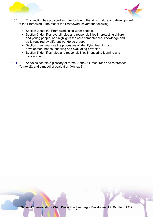



- 1.10 This section has provided an introduction to the aims, nature and development of the Framework. The rest of the Framework covers the following:
	- Section 2 sets the Framework in its wider context.
	- Section 3 identifies overall roles and responsibilities in protecting children and young people, and highlights the core competences, knowledge and skills required by different workforce groups.
	- Section 4 summarises the processes of identifying learning and development needs, enabling and evaluating provision.
	- Section 5 identifies roles and responsibilities in ensuring learning and development.
- 1.11 Annexes contain a glossary of terms (Annex 1); resources and references (Annex 2); and a model of evaluation (Annex 3).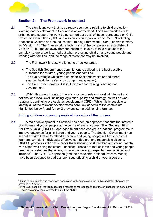<span id="page-7-0"></span>

 $\overline{a}$ 



# **Section 2: The Framework in context**

- 2.1 The significant work that has already been done relating to child protection learning and development in Scotland is acknowledged. This Framework aims to enhance and support the work being carried out by all of those represented on Child Protection Committees (CPCs). It also builds on a previous document: "Protecting Scotland's Children and Young People Training Framework (2005)", known to many as "Version 12". The Framework reflects many of the competences established in Version 12, but moves away from the notion of "levels", to take account of the complex nature of work carried out when protecting children and young people and working with families, and the range of roles that may be involved.
- [2](#page-7-0).2 The Framework is closely aligned to three key areas<sup>2</sup>:
	- The Scottish Government's commitment to delivering the best possible outcomes for children, young people and families.
	- The five Strategic Objectives (to make Scotland: wealthier and fairer; smarter; healthier; safer and stronger; and greener).
	- The Care Inspectorate's Quality Indicators for training, learning and development.
- 2.3 Within this overall context, there is a range of relevant work at international, national and local level, including legislation, policy and strategy, as well as work relating to continuing professional development (CPD). While it is impossible to identify all of the relevant developments here, key aspects of the context are highlighted below<sup>[3](#page-7-0)</sup>, and Annex 2 provides some additional references.

#### **Putting children and young people at the centre of the process**

have been designed to address any issue affecting a child or young person. 2.4 A major development in Scotland has been an approach that puts the interests of children and young people at the centre of every process. The "Getting It Right For Every Child" (GIRFEC) approach (mentioned earlier) is a national programme to improve outcomes for all children and young people. The Scottish Government has set out a vision that all Scotland's children and young people will be: successful learners; confident individuals; effective contributors; and responsible citizens. GIRFEC promotes action to improve the well-being of all children and young people, with eight "well-being indicators" identified. These are that children and young people need to be: safe; healthy; active; nurtured; achieving; respected; responsible; and included<sup>[4](#page-7-0)</sup>. The GIRFEC approach (and the associated National Practice Model)

 $2$  Links to documents and resources associated with issues explored in this and later chapters are provided at Annex 2.<br><sup>3</sup> Wherever neesible

Wherever possible, the language used reflects or reproduces that of the original source document. <sup>4</sup> These are sometimes referred to as "SHANARRI".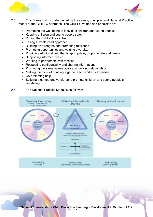



- 2.5 This Framework is underpinned by the values, principles and National Practice Model of the GIRFEC approach. The GIRFEC values and principles are:
	- Promoting the well-being of individual children and young people.
	- Keeping children and young people safe.
	- Putting the child at the centre.
	- Taking a whole child approach.
	- Building on strengths and promoting resilience.
	- Promoting opportunities and valuing diversity.
	- Providing additional help that is appropriate, proportionate and timely.
	- Supporting informed choice.
	- Working in partnership with families.
	- Respecting confidentiality and sharing information.
	- Promoting the same values across all working relationships.
	- Making the most of bringing together each worker's expertise.
	- Co-ordinating help.
	- Building a competent workforce to promote children and young people's well-being.
- 2.6 The National Practice Model is as follows:



**National Framework for Child Protection Learning & Development in Scotland 2012**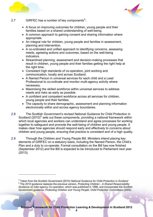<span id="page-9-0"></span>

 $\overline{a}$ 



#### 2.7 GIRFEC has a number of key components<sup>[5](#page-9-0)</sup>:

- A focus on improving outcomes for children, young people and their families based on a shared understanding of well-being.
- A common approach to gaining consent and sharing information where appropriate.
- An integral role for children, young people and families in assessment, planning and intervention.
- A co-ordinated and unified approach to identifying concerns, assessing needs, agreeing actions and outcomes, based on the well-being indicators.
- Streamlined planning, assessment and decision-making processes that result in children, young people and their families getting the right help at the right time.
- Consistent high standards of co-operation, joint working and communication, locally and across Scotland.
- A Named Person in universal services for each child and a Lead Professional to co-ordinate and monitor multi-agency activity where necessary.
- Maximising the skilled workforce within universal services to address needs and risks as early as possible.
- A confident and competent workforce across all services for children, young people and their families.
- The capacity to share demographic, assessment and planning information electronically within and across agency boundaries.
- 2.8 The Scottish Government's revised National Guidance for Child Protection in Scotland (2010)<sup>[6](#page-9-0)</sup> sets out these components, providing a national framework within which local agencies and workers can understand and agree processes for working together to safeguard and promote the well-being of children and young people. It makes clear how agencies should respond early and effectively to concerns about children and young people, ensuring that practice is consistent and of a high quality.
- 2.9 Through the Children and Young People Bill, Ministers intend placing key elements of GIRFEC on a statutory basis, including the Named Person, the Child's Plan and a duty to co-operate. Formal consultation on the Bill has now finished (September 2012) and the Bill is expected to be introduced to Parliament next year (2013).

<sup>5</sup> Taken from the Scottish Government (2010) *National Guidance for Child Protection in Scotland* 6 The 2010 guidance replaces the previous version, *Protecting Children - A Shared Responsibility: Guidance on Inter-agency Co-operation*, which was published in 1998, and incorporates the Scottish Government guidance, *Protecting Children and Young People: Child Protection Committees* (2005).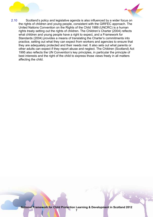



2.10 Scotland's policy and legislative agenda is also influenced by a wider focus on the rights of children and young people, consistent with the GIRFEC approach. The United Nations Convention on the Rights of the Child 1989 (UNCRC) is a human rights treaty setting out the rights of children. The Children's Charter (2004) reflects what children and young people have a right to expect, and a Framework for Standards (2004) provides a means of translating the Charter's commitments into practice, setting out what they can expect from workers and agencies to ensure that they are adequately protected and their needs met. It also sets out what parents or other adults can expect if they report abuse and neglect. The Children (Scotland) Act 1995 also reflects the UN Convention's key principles, in particular the principle of best interests and the right of the child to express those views freely in all matters affecting the child.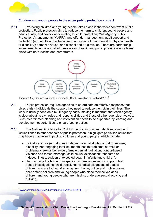<span id="page-11-0"></span>



#### **Children and young people in the wider public protection context**

2.11 Protecting children and young people takes place in the wider context of public protection. Public protection aims to reduce the harm to children, young people and adults at risk, and covers work relating to: child protection; Multi-Agency Public Protection Arrangements (MAPPA) and offender management; adult support and protection (e.g. adults at risk because of an aspect of their mental or physical health or disability); domestic abuse; and alcohol and drug misuse. There are partnership arrangements in place in all of these areas of work, and public protection work takes place with both victims and perpetrators.



(Diagram 1.2) Source: National Guidance for Child Protection in Scotland 2010<sup>[7](#page-11-0)</sup>

- 2.12 Public protection requires agencies to co-ordinate an effective response that gives at-risk individuals the support they need to reduce the risk in their lives. The work is usually done on a multi-agency basis, making it important that each agency is clear about its own roles and responsibilities and those of other agencies involved. Such co-ordinated planning and intervention needs to be supported by learning and development opportunities to ensure best practice.
- 2.13 The National Guidance for Child Protection in Scotland identifies a range of issues linked to other aspects of public protection. It highlights particular issues that may have an adverse impact on children and young people, which include:
	- Indicators of risk (e.g. domestic abuse; parental alcohol and drug misuse; disability; non-engaging families; mental health problems; harmful or problematic sexual behaviour; female genital mutilation; honour-based violence and forced marriage; child sexual exploitation; fabricated or induced illness; sudden unexpected death in infants and children).
	- Harm outside the home or in specific circumstances (e.g. complex child abuse investigations; child trafficking; historical allegations of abuse; children who are looked after away from home; online and mobile phone child safety; children and young people who place themselves at risk; children and young people who are missing; underage sexual activity; and bullying).

<sup>7</sup> [www.scotland.gov.uk/Publications/2010/12/09134441](http://www.scotland.gov.uk/Publications/2010/12/09134441)

 $\overline{a}$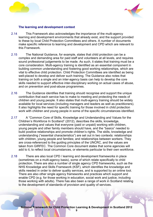<span id="page-12-0"></span>



#### **The learning and development context**

- 2.14 This Framework also acknowledges the importance of the multi-agency learning and development environments that already exist, and the support provided to these by local Child Protection Committees and others. A number of documents make specific reference to learning and development and CPD which are relevant to this Framework.
- 2.15 The National Guidance, for example, states that child protection can be a complex and demanding area for paid staff and volunteers at all levels, and requires sound professional judgements to be made. As such, it states that training must be a core consideration. Multi-agency training is identified as an essential component in building common understanding and fostering good working relationships, which are vital to effective child protection. Child Protection Committees are identified as being well-placed to develop and deliver such training. The Guidance also notes that training on both a single and an inter-agency basis can help to develop the core skills needed to support effective inter-disciplinary working on actual cases of abuse, and on prevention and post-abuse programmes.
- 2.16 The Guidance identifies that training should recognise and support the unique contribution that each service has to make to meeting and protecting the needs of children and young people. It also states that multi-agency training should be widely available for local services (including managers and leaders as well as practitioners). It also highlights the need for specific training for those involved in child protection work with children and young people in some of the specific circumstances identified.
- 2.17 A "Common Core of Skills, Knowledge and Understanding and Values for the Children's Workforce In Scotland" (2012), describes the skills, knowledge, understanding and values that everyone (paid or unpaid) working with children, young people and other family members should have, and the "basics" needed to build positive relationships and promote children's rights. The skills, knowledge and understanding ("essential characteristics") are set out in two contexts: relationships with children, young people and families; and relationships between workers. They are cross-referenced to the guiding principles of the UNCRC, and the values are taken from GIRFEC. The Common Core document states that some agencies will add to it, to reflect local circumstances, or elements particular to their own workforce.
- 2.18 There are also local CPD / learning and development frameworks in place (sometimes on a multi-agency basis), some of which relate specifically to child protection. There are also a number of single agency CPD frameworks, such as the NHS Knowledge and Skills Framework (KSF), which identifies the knowledge and skills needed in order to deliver quality services, and is supported by an online tool. There are also other single agency frameworks and practices which support and enable CPD (e.g. for those working in education, social work and justice, including those working with adults). There has also been a range of work in Scotland relating to the development of standards of provision and quality of services.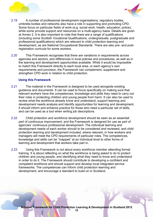<span id="page-13-0"></span>



- 2.19 A number of professional development organisations, regulatory bodies, umbrella bodies and networks also have a role in supporting and promoting CPD. Some focus on particular fields of work (e.g. social work; health; education; police), while some provide support and resources on a multi-agency basis. Details are given at Annex 2. It is also important to note that there are a range of qualifications (including some Scottish Vocational Qualifications, undergraduate, postgraduate and professional qualifications) which are relevant to child protection learning and development, as are National Occupational Standards. There are also pre- and postregistration curricula for some workers.
- 2.20 This Framework recognises that there are variations in requirements across agencies and sectors, and differences in local policies and procedures, as well as in the learning and development opportunities available. While it would be impossible to match this Framework directly to each local area, or each agency's own requirements and provision, the Framework can complement, supplement and strengthen CPD work in relation to child protection.

#### **Using this Framework**

- 2.21 The material in the Framework is designed to be used alongside existing guidance and documents. It can be used to focus specifically on making sure that relevant workers have the competences, knowledge and skills they need to carry out their roles in protecting children and young people from harm. It can also be used to review what the workforce already know and understand, support learning and development needs analysis and identify opportunities for learning and development. It should inform and enhance practice for those who need a particular set of skills, and can be used as a tool when writing job descriptions.
- 2.22 Child protection and workforce development should be seen as an essential part of continuous improvement, and the Framework is designed for use as part of agencies' continuous professional development. The individual learning and development needs of each worker should to be considered and reviewed, and child protection learning and development included, where relevant, in how workers and managers will meet the CPD requirements of particular roles. The competences, knowledge and skills can be "mapped" at an individual level to other forms of learning and development that workers take part in.
- 2.23 Using this Framework is not about every workforce member attending formal training. It is about reflecting on what the workforce is being asked to do to protect children and young people, and identifying what they need to know and understand in order to do it. The Framework should contribute to developing a confident and competent workforce and should support and develop local integrated service frameworks. The competences can inform child protection learning and development, and encourage a standard to build on in Scotland.

**10**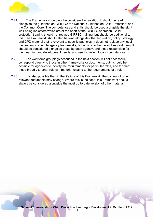



- 2.24 The Framework should not be considered in isolation. It should be read alongside the guidance on GIRFEC; the National Guidance on Child Protection; and the Common Core. The competences and skills should be used alongside the eight well-being indicators which are at the heart of the GIRFEC approach. Child protection training should not replace GIRFEC training, but should be additional to this. The Framework should also be read alongside other legislation, policy, strategy and CPD material that is relevant to specific agencies. It does not replace any local multi-agency or single agency frameworks, but aims to enhance and support them. It should be considered alongside these by each agency, and those responsible for their learning and development needs, and used to reflect local circumstances.
- 2.25 The workforce groupings described in the next section will not necessarily correspond directly to those in other frameworks or documents, but it should be possible for agencies to identify the requirements for particular roles, and to "map" these broadly to other relevant material relating to the requirements of a role.
- 2.26 It is also possible that, in the lifetime of this Framework, the content of other relevant documents may change. Where this is the case, this Framework should always be considered alongside the most up to date version of other material.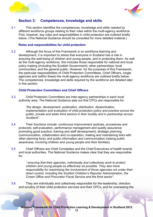<span id="page-15-0"></span>



# **Section 3: Competences, knowledge and skills**

3.1 This section identifies the competences, knowledge and skills needed by different workforce groups relating to their roles within the multi-agency workforce. First, however, key roles and responsibilities in child protection are outlined briefly below. (The National Guidance should be consulted for more detailed material.)

#### **Roles and responsibilities for child protection**

3.2 Although the focus of this Framework is on workforce learning and development, it is important to stress that everyone in Scotland has a role in ensuring the well-being of children and young people, and in protecting them. As well as the multi-agency workforce, this includes those responsible for national and local policy making (including the Scottish Government); other partnerships; local communities; and the general public. However, for the purposes of this Framework, the particular responsibilities of Child Protection Committees, Chief Officers, single agencies and (within these) the multi-agency workforce are outlined briefly below. The competences, knowledge and skills required by the workforce are detailed later in this section.

#### *Child Protection Committees and Chief Officers*

3.3 Child Protection Committees are inter-agency partnerships in each local authority area. The National Guidance sets out that CPCs are responsible for:

> *"the design, development, publication, distribution, dissemination, implementation and evaluation of child protection policy and practice across the public, private and wider third sectors in their locality and in partnership across Scotland".*

- 3.4 Their functions include: continuous improvement (policies, procedures and protocols; self-evaluation, performance management and quality assurance; promoting good practice; training and staff development); strategic planning (communication, collaboration and co-operation; making and maintaining links with other planning fora); and public information and communication (raising public awareness; involving children and young people and their families).
- 3.5 Chief Officers are Chief Constables and the Chief Executives of health boards and local authorities. The National Guidance makes clear that they are responsible for:

*" ensuring that their agencies, individually and collectively work to protect children and young people as effectively as possible. They also have responsibility for maximising the involvement of those agencies not under their direct control, including the Scottish Children's Reporter Administration, the Crown Office and Procurator Fiscal Service and the third sector".* 

3.6 They are individually and collectively responsible for the leadership, direction and scrutiny of their child protection services and their CPCs, and for overseeing the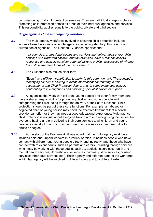<span id="page-16-0"></span>



commissioning of all child protection services. They are individually responsible for promoting child protection across all areas of their individual agencies and services. This responsibility applies equally to the public, private and third sectors.

#### *Single agencies / the multi-agency workforce*

3.7 The multi-agency workforce involved in ensuring child protection includes workers based in a range of single agencies, including statutory, third sector and private sector agencies. The National Guidance specifies that:

> *"all agencies, professional bodies and services that deliver adult and/or child services and work with children and their families, have a responsibility to recognise and actively consider potential risks to a child, irrespective of whether the child is the main focus of the involvement."*

3.8 The Guidance also makes clear that:

*"Each has a different contribution to make to this common task. These include: identifying concerns; sharing relevant information; contributing to risk assessments and Child Protection Plans; and, in some instances, actively contributing to investigations and providing specialist advice or support".* 

- 3.9 All agencies that work with children, young people and other family members have a shared responsibility for protecting children and young people and safeguarding their well-being through the delivery of their core functions. Child protection should be part of these core functions. For example, an abused or neglected child or young person may need the effective treatment that a health provider can offer; or they may need a good educational experience. Multi-agency child protection is not just about everyone having a role in recognising the issues, but everyone having a role in delivering their core services to all children and young people, especially those who may be missing out on services they need, due to abuse or neglect.
- 3.10 At the start of the Framework, it was noted that the multi-agency workforce includes paid and unpaid workers in a variety of roles. It includes people who have contact with children and young people directly and indirectly; and those who have contact with relevant adults, such as parents and carers (including through services which may be working with these adults, such as: addictions services; health and mental health services; domestic abuse services; criminal justice services; housing services; other adult services etc.). Each agency and different parts of the workforce within that agency will be involved in different ways and to a different extent.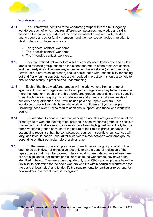<span id="page-17-0"></span>



#### **Workforce groups**

- 3.11 This Framework identifies three workforce groups within the multi-agency workforce, each of which requires different competences, knowledge and skills, based on the nature and extent of their contact (direct or indirect) with children, young people and other family members (and their consequent roles in relation to child protection). These groups are:
	- The "general contact" workforce.
	- The "specific contact" workforce.
	- The "intensive contact" workforce
- 3.12 They are defined below, before a set of competences, knowledge and skills is identified for each group, based on the extent and nature of their relevant contact, and their likely roles. This new way of describing the workforce (rather than using "levels" or a hierarchical approach) should assist those with responsibility for setting out and / or ensuring competences are embedded in practice. It should also help to ensure consistency in practice and understanding.
- 3.13 Each of the three workforce groups will include workers from a range of agencies. A number of agencies (and even parts of agencies) may have workers in more than one, or in each of the three workforce groups, depending on their specific roles. Each workforce group will include workers at a range of different levels of seniority and qualification, and it will include paid and unpaid workers. Each workforce group will include those who work with children and young people (including those over 16 who require additional support), and those who work with adults.
- 3.14 It is important to bear in mind that, although examples are given of some of the broad *types* of workers that might be included in each workforce group, it is possible that some individual workers whose roles have been highlighted will actually fall into other workforce groups because of the nature of their role in particular cases. It is essential to recognise that the competences required in specific circumstances will vary, and it would not be unusual for a worker to move between workforce groups, depending on their particular role at a given time.
- 3.15 For that reason, the examples given for each workforce group should not be seen to be definitive, nor exhaustive, but only to give a general indication of the types of roles that might be covered. They should not exclude workers whose roles are not highlighted, nor restrict particular roles to the workforces they have been identified in below. They are a broad guide only, and CPCs and employers have the flexibility to determine for their own workers who fits within particular workforces (on the basis of local roles) and to identify the requirements for particular roles, and for new workers in relevant roles, is recognised.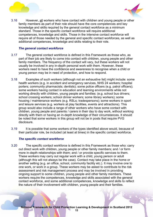<span id="page-18-0"></span>



3.16 However, all workers who have contact with children and young people or other family members as part of their role should have the core competences and key knowledge and skills required by the general contact workforce as a minimum standard. Those in the specific contact workforce will require additional competences, knowledge and skills. Those in the intensive contact workforce will require all of those needed by the general and specific contact workforces, as well as additional competences, knowledge and skills relating to their role.

#### *The general contact workforce*

- 3.17 The general contact workforce is defined in this Framework as those who, as part of their job are likely to come into contact with children, young people and other family members. The frequency of the contact will vary, but these workers will not usually be involved in any in-depth personal work with them. However, these workers need to have the confidence and awareness to recognise when a child or young person may be in need of protection, and how to respond.
- 3.18 Examples of such workers (although not an exhaustive list) might include: some health workers (e.g. in accident and emergency services, NHS 24 workers; hospital porters; community pharmacists; dentists); some police officers (e.g. patrol officers); some workers having contact in education and learning environments while not working directly with children, young people and families: (e.g. school bus drivers; school crossing workers; school dinner workers; some library workers); some housing / maintenance workers (e.g. RSLs; tradespersons); some workers in sport and leisure services (e.g. workers at play facilities, events and attractions). This group would also include a range of other workers who have some contact with children, young people and parents / carers in their day to day work, without working directly with them or having an in-depth knowledge of their circumstances. It should be noted that some workers in this group will not be in posts that require PVG disclosure.
- 3.19 It is possible that some workers of the types identified above would, because of their particular role, be included (at least at times) in the specific contact workforce.

#### *The specific contact workforce*

3.20 The specific contact workforce is defined in this Framework as those who: carry out direct work with children, young people or other family members; and / or form more in-depth relationships with them; and / or provide specific services to them. These workers may carry out regular work with a child, young person or adult (although this will not always be the case). Contact may take place in the home or another setting (e.g. an office, school, community facility etc.). It may involve one to one work, or work in a group. These workers may be asked to contribute to the risk assessment and risk management process and may be involved in providing ongoing support to some children, young people and other family members. These workers require the competences, knowledge and skills associated with the general contact workforce, and some additional competences, knowledge and skills to reflect the nature of their involvement with children, young people and their families.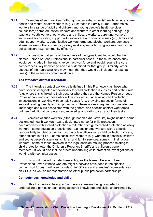<span id="page-19-0"></span>



- 3.21 Examples of such workers (although not an exhaustive list) might include: some health and mental health workers (e.g. GPs; those in Family Nurse Partnerships; workers in a range of adult and children and young people's health services; counsellors); some education workers and workers in other learning settings (e.g. teachers; youth workers; early years and childcare workers; parenting workers); some workers providing support with social care and specific issues (e.g. family and adult support workers; youth justice workers; drug and alcohol workers; domestic abuse workers; other community safety workers; some housing workers; and some police officers (e.g. community officers).
- 3.22 It is possible that some of the workers of the types identified would be the Named Person or Lead Professional in particular cases. In these instances, they would be included in the intensive contact workforce and would require the core competences, key knowledge and skills identified for that group. Similarly, other aspects of their particular role may mean that they would be included (at least at times) in the intensive contact workforce.

#### *The intensive contact workforce*

- 3.23 The intensive contact workforce is defined in this Framework as those who have specific designated responsibility for child protection issues as part of their role (e.g. where this is linked to their post, or where they are the Named Person or Lead Professional); and / or those who will be involved in undertaking child protection investigations or working with complex cases (e.g. providing particular forms of support relating directly to child protection). These workers require the competences, knowledge and skills associated with the general and specific contact workforces, but need additional competences, knowledge and skills to carry out their tasks.
- 3.24 Examples of such workers (although not an exhaustive list) might include: some designated health workers (e.g. a designated nurse for child protection; paediatricians with a child protection remit; other designated child protection advisory workers); some education practitioners (e.g. designated workers with a specific responsibility for child protection); some police officers (e.g. child protection officers; other officers in a PPU); some social care workers (e.g. workers in specialist children and young people's agencies; children and family services; some criminal justice workers); some of those involved in the legal decision making process relating to child protection (e.g. the Children's Reporter, Sheriffs and children's panel members). It would also include others undertaking child protection investigations or working with complex cases.
- 3.25 This workforce will include those acting as the Named Person or Lead Professional (even if these workers might otherwise have been in the specific contact workforce). It will also include Chief Officers and agencies' representatives on CPCs, as well as representatives on other public protection partnerships.

#### **Competences, knowledge and skills**

3.26 In this Framework, having a "competence" means being competent in undertaking a particular task, using acquired knowledge and skills, underpinned by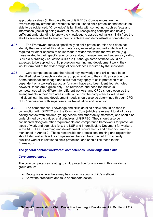<span id="page-20-0"></span>



appropriate values (in this case those of GIRFEC). Competences are the overarching key strands of a worker's contribution to child protection that should be able to be evidenced. "Knowledge" is familiarity with something, such as facts and information (including being aware of issues, recognising concepts and having sufficient understanding to apply the knowledge to associated tasks). "Skills" are the abilities someone has to enable them to achieve and demonstrate a competence.

- 3.27 The Framework focuses specifically on child protection roles and does not identify the range of additional competences, knowledge and skills which will be required for other aspects of an individual's wider role within the workforce (e.g. those related to their specific agency or service; management and supervisory skills; CPD skills; training / education skills etc.). Although some of these would be expected to be applied to child protection learning and development work, they would form part of the wider range of competences required by that individual.
- 3.28 Core competences, and the related key knowledge and skills, have been identified below for each workforce group, in relation to their child protection role. Some additional knowledge and skills that may apply to child protection roles, dependent on a worker's particular function, have also been identified. As noted, however, these are a guide only. The relevance and need for individual competences will be different for different workers, and CPCs should oversee the arrangements in their own area in relation to how the competences will be met. Individual learning and development needs should also be determined through CPD / PDP discussions with supervisors; self-evaluation and reflection.
- 3.29 The competences, knowledge and skills detailed below should be read in conjunction with GIRFEC and the Common Core (which are relevant to all of those having contact with children, young people and other family members) and should be underpinned by the values and principles of GIRFEC. They should also be considered alongside other requirements and competence frameworks for particular types of work and agencies (e.g. the KSF and Intercollegiate Document for workers in the NHS, SSSC learning and development requirements and other documents mentioned in Annex 2). Those responsible for professional training and registration should also make clear the competences that can be expected from a newly qualified worker in relation to child protection, and should link these to this Framework.

#### **The general contact workforce: competences, knowledge and skills**

#### *Core competences*

The core competences relating to child protection for a worker in this workforce group are to:

- Recognise where there may be concerns about a child's well-being.
- Know the procedure and take appropriate action.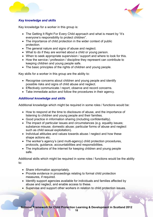



#### *Key knowledge and skills*

Key knowledge for a worker in this group is:

- The Getting It Right For Every Child approach and what is meant by "it's everyone's responsibility to protect children".
- The importance of child protection in the wider context of public protection.
- The general nature and signs of abuse and neglect.
- What to do if they are worried about a child or young person.
- When to seek appropriate supervision / support and where to look for this.
- How the service / profession / discipline they represent can contribute to keeping children and young people safe.
- The basic principles of the rights of children and young people.

Key skills for a worker in this group are the ability to:

- Recognise concerns about children and young people and identify possible risks and signs of child abuse and neglect.
- Effectively communicate / report, observe and record concerns.
- Take immediate action and follow the procedures in their agency.

#### *Additional knowledge and skills*

Additional knowledge which might be required in some roles / functions would be:

- How to respond at the time to disclosure of abuse, and the importance of listening to children and young people and their families.
- Good practice in information sharing (including confidentiality).
- The impact of particular issues and circumstances (e.g. equality issues: substance misuse; domestic abuse; particular forms of abuse and neglect such as child sexual exploitation).
- Individual attitudes and values towards abuse / neglect and how these shape actions etc.
- The worker's agency's (and multi-agency) child protection procedures, protocols, guidance, accountabilities and responsibilities.
- The implications of the internet for keeping children and young people safe.

Additional skills which might be required in some roles / functions would be the ability to:

- Share information appropriately.
- Provide evidence in proceedings relating to formal child protection measures, if required.
- Identify support agencies available for individuals and families affected by abuse and neglect, and enable access to these.
- Supervise and support other workers in relation to child protection issues.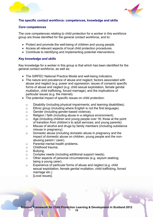<span id="page-22-0"></span>



#### **The specific contact workforce: competences, knowledge and skills**

#### *Core competences*

The core competences relating to child protection for a worker in this workforce group are those identified for the general contact workforce, and to:

- Protect and promote the well-being of children and young people.
- Access all relevant aspects of local child protection procedures.
- Contribute to identifying and implementing potential interventions.

#### *Key knowledge and skills*

Key knowledge for a worker in this group is that which has been identified for the general contact workforce, as well as:

- The GIRFEC National Practice Model and well-being indicators.
- The nature and prevalence of abuse and neglect; factors associated with abuse and neglect (e.g. power and oppression; issues of consent) specific forms of abuse and neglect (e.g. child sexual exploitation, female genital mutilation, child trafficking, forced marriage); and the implications of particular issues (e.g. the internet).
- The potential impact of specific issues on child protection:
	- o Disability (including physical impairments; and learning disabilities).
	- o Ethnic group (including where English is not the first language).
	- o Gender (including gender-based violence).
	- o Religion / faith (including abuse in a religious environment).
	- o Age (including children and young people over 16; those at the point of transition from children's to adult services; and young parents).
	- o Misuse of alcohol and drugs by family members (including substance misuse in pregnancy).
	- o Domestic abuse (including domestic abuse in pregnancy and the impact of domestic abuse on children, young people and the nonabusing parent / carer).
	- o Parental mental health problems.
	- o Childhood trauma.
	- o Bullying.
	- o Complex needs (including additional support needs).
	- o Other aspects of personal circumstances (e.g. asylum seeking; being a young carer).
	- o Experience of particular forms of abuse and neglect (e.g. child sexual exploitation, female genital mutilation, child trafficking, forced marriage etc.).
	- o [Local issues].

**19**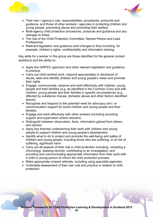



- Their own / agency's role, responsibilities, procedures, protocols and guidance, and those of other workers / agencies in protecting children and young people, preventing abuse and promoting their welfare.
- Multi-agency child protection procedures, protocols and guidance and any changes to these.
- The role of the Child Protection Committee, Named Person and Lead Professional.
- Relevant legislation and guidance (and changes to this) including, for example, children's rights, confidentiality and information sharing.

Key skills for a worker in this group are those identified for the general contact workforce and the ability to:

- Apply the GIRFEC approach and other relevant legislation and guidance to practice.
- Carry out child-centred work, respond appropriately to disclosure of abuse, seek and identify children and young people's views and promote their rights.
- Engage, communicate, observe and work effectively with children, young people and their families (e.g. as identified in the Common Core) and with children, young people and their families in specific circumstances (e.g. affected by substance misuse, domestic abuse and other factors identified above).
- Recognise and respond to the potential need for advocacy and / or communication support for some children and young people and their families.
- Engage and work effectively with other workers (including providing support and supervision where relevant).
- Distinguish between observation, facts, information gained from others, and opinion.
- Apply key theories underpinning their work with children and young people to support children and young people's development.
- Identify what to do to protect and promote the well-being and safety of children and young people, including those who are suffering, or at risk of suffering, significant harm.
- Carry out all aspects of their role in child protection including: compiling a chronology; keeping records; contributing to an investigation; and providing and communicating appropriate information from their work with a child or young person to inform the child protection process.
- Make appropriate onward referrals, including using specialist agencies.
- Undertake assessment of their own role and practice in relation to child protection.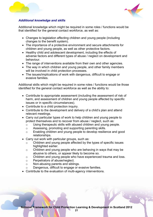



#### *Additional knowledge and skills*

Additional knowledge which might be required in some roles / functions would be that identified for the general contact workforce, as well as:

- Changes to legislation affecting children and young people (including changes to the benefit system).
- The importance of a protective environment and secure attachments for children and young people, as well as other protective factors.
- Healthy child and adolescent development, including the effects of adverse factors and different types of abuse / neglect on development and behaviour.
- The range of interventions available from their own and other agencies.
- The way in which children and young people, and other family members will be involved in child protection processes.
- The issues/implications of work with dangerous, difficult to engage or evasive families.

Additional skills which might be required in some roles / functions would be those identified for the general contact workforce as well as the ability to:

- Contribute to appropriate assessment (including the assessment of risk of harm, and assessment of children and young people affected by specific issues or in specific circumstances).
- Contribute to a child protection inquiry.
- Contribute to the development and delivery of a child's plan and attend relevant meetings.
- Carry out particular types of work to help children and young people to protect themselves and to recover from abuse / neglect, such as:
	- o Using therapeutic skills with abused children and young people.
	- o Assessing, promoting and supporting parenting skills.
	- o Enabling children and young people to develop resilience and good relationships.
- Carry out work with particular groups, such as:
	- o Children and young people affected by the types of specific issues highlighted earlier.
	- o Children and young people who are behaving in ways that may be abusive to others, or appear likely to become so.
	- o Children and young people who have experienced trauma and loss.
	- o Perpetrators of abuse/neglect.
	- o Non-abusing parents and siblings.
	- o Dangerous, difficult to engage or evasive families.
- Contribute to the evaluation of multi-agency interventions.

**21**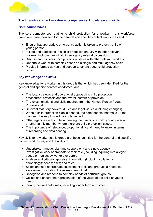<span id="page-25-0"></span>



#### **The intensive contact workforce: competences, knowledge and skills**

#### *Core competences*

The core competences relating to child protection for a worker in this workforce group are those identified for the general and specific contact workforces and to:

- Ensure that appropriate emergency action is taken to protect a child or young person.
- Initiate and participate in a child protection enquiry with other relevant workers, including an initial / inter-agency referral discussion.
- Discuss and consider child protection issues with other relevant workers.
- Undertake work with complex cases on a single and multi-agency basis.
- Provide informed advice and support to others about child protection issues.

#### *Key knowledge and skills*

Key knowledge for a worker in this group is that which has been identified for the general and specific contact workforces, and:

- The local strategic and operational approach to child protection, procedures, protocols and the overall pattern of provision.
- The roles, functions and skills required from the Named Person / Lead **Professional**
- Relevant statutory powers, duties and legal issues (including changes).
- When a child protection plan is needed, the components that make up the plan and the way this will be implemented.
- Other agencies with a role in meeting the needs of a child, young person or other family member where there are child protection issues.
- The importance of relevance, proportionality and 'need to know' in terms of recording and data sharing.

Key skills for a worker in this group are those identified for the general and specific contact workforces, and the ability to:

- Undertake, manage, plan and support joint and single agency investigative work appropriate to their role (including inquiring into alleged abuse or neglect by workers or carers).
- Analyse and critically appraise: information (including collating a chronology); needs; risks; and roles.
- Select and use appropriate assessment tools and produce a needs-led assessment, including the assessment of risk.
- Recognise and respond to complex needs of particular groups.
- Collect and ensure the representation of the views of the child or young person.
- Identify desired outcomes, including longer term outcomes.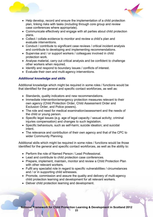



- Help develop, record and ensure the implementation of a child protection plan, linking risks with tasks (including through core group and review case conferences where appropriate).
- Communicate effectively and engage with all parties about child protection plans.
- Collect / collate evidence to monitor and review a child's plan and evaluate interventions.
- Conduct / contribute to significant case reviews / critical incident analysis and contribute to developing and implementing recommendations.
- Supervise and / or support workers / colleagues involved in child protection work.
- Analyse material, carry out critical analysis and be confident to challenge other workers when required.
- Identify and respond to boundary issues / conflicts of interest.
- Evaluate their own and multi-agency interventions.

#### *Additional knowledge and skills*

Additional knowledge which might be required in some roles / functions would be that identified for the general and specific contact workforces, as well as:

- Standards, quality indicators and new recommendations.
- Immediate intervention/emergency protection measures relevant to their own agency (Child Protection Order, Child Assessment Order and Exclusion Order, and Police powers).
- The role and need for medical examination/assessment and the needs of the child or young person.
- Specific legal issues (e.g. age of legal capacity / sexual activity; criminal injuries compensation) and changes to such legislation.
- Specific behaviours, such as self-harm; suicide ideation; and suicidal intent.
- The relevance and contribution of their own agency and that of the CPC to wider Community Planning.

Additional skills which might be required in some roles / functions would be those identified for the general and specific contact workforces, as well as the ability to:

- Perform the role of Named Person / Lead Professional.
- Lead and contribute to child protection case conferences.
- Prepare, implement, maintain, monitor and review a Child Protection Plan with other relevant workers.
- Fulfil any specialist role in regard to specific vulnerabilities / circumstances and / or in supporting child witnesses.
- Promote, commission and assure the quality and delivery of multi-agency child protection learning and development for all relevant workers.
- Deliver child protection learning and development.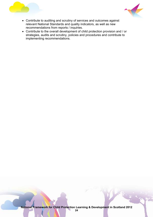



- Contribute to auditing and scrutiny of services and outcomes against relevant National Standards and quality indicators, as well as new recommendations from reports / inquiries.
- Contribute to the overall development of child protection provision and / or strategies, audits and scrutiny, policies and procedures and contribute to implementing recommendations.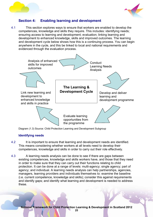<span id="page-28-0"></span>



# **Section 4: Enabling learning and development**

4.1 This section explores ways to ensure that workers are enabled to develop the competences, knowledge and skills they require. This includes: identifying needs; ensuring access to learning and development; evaluation; linking learning and development to enhanced knowledge, skills and improved outcomes. The learning and development cycle below shows how this is a continuing process. You can begin anywhere in the cycle, and this be linked to local and national requirements and evidenced through the evaluation process.



Diagram (1.3) Source: Child Protection Learning and Development Subgroup

#### **Identifying needs**

- 4.2 It is important to ensure that learning and development needs are identified. This means considering whether workers at all levels need to develop their competences, knowledge and skills in order to carry out their role effectively.
- 4.3 A learning needs analysis can be done to see if there are gaps between existing competences, knowledge and skills workers have, and those that they need in order to make sure that they can carry out their functions relating to child protection. It can be done at a range of levels: multi-agency; single agency; part of agency; and individual. A learning needs analysis can help partnerships, agencies, managers, learning providers and individuals themselves to: examine the baseline (i.e. current competence, knowledge and skills); consider this against requirements and identify gaps; and identify what learning and development is needed to address these.

**National Framework for Child Protection Learning & Development in Scotland 2012**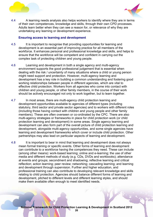<span id="page-29-0"></span>



4.4 A learning needs analysis also helps workers to identify where they are in terms of their own competences, knowledge and skills, through their own CPD processes. Adults learn better when they can see a reason for, or relevance of why they are undertaking any learning or development experience.

#### **Ensuring access to learning and development**

- 4.5 It is important to recognise that providing opportunities for learning and development is an essential part of improving practice for all members of the workforce. It enhances personal and professional knowledge and skills, and helps to ensure that the workforce will be competent and confident in carrying out the complex task of protecting children and young people.
- 4.6 Learning and development in both a single agency and multi-agency environment supports the good professional judgement that is essential when dealing with the risk / uncertainty of many situations where a child or young person might need support and protection. However, multi-agency learning and development has a key role in building a common understanding and fostering good working relationships between people in different agencies, which are vital to effective child protection. Workers from all agencies who come into contact with children and young people, or other family members, in the course of their work should be actively encouraged not only to work together, but to learn together.
- 4.7 In most areas, there are multi-agency child protection learning and development opportunities available to agencies of different types (including statutory, third sector and private sector agencies) and to workers with different roles (including those having contact with children and young people and other family members). These are often overseen or co-ordinated by the CPC. There are also multi-agency strategies or frameworks in place for child protection work (or child protection learning and development) in some areas. Single agency learning and development can also form part of the overall picture of child protection learning and development, alongside multi-agency opportunities, and some single agencies have learning and development frameworks which cover or include child protection. Other partnerships may also lead on particular aspects of learning and development.
- 4.8 It is important to bear in mind that learning and development does not always mean formal training or specific events. Other forms of learning and development can contribute to a workforce having the competences they need. These can include (among other means): work-based learning; online and e-learning; the use of other media and different methods of study (e.g. CDs, DVDs and workbooks); attendance at events and groups; secondment and shadowing; reflective learning and critical reflection; action learning; peer review; networking; cascading learning; and learning and development through supervision. Further and higher education, and professional training can also contribute to developing relevant knowledge and skills relating to child protection. Agencies should balance different forms of learning and development, pitched to different levels and different learning styles, and should make them available often enough to meet identified needs.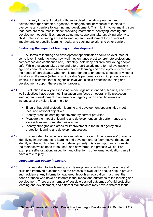<span id="page-30-0"></span>



4.9 It is very important that all of those involved in enabling learning and development (partnerships, agencies, managers and individuals) take steps to overcome any barriers to learning and development. This might involve: making sure that there are resources in place; providing information; identifying learning and development opportunities; encouraging and supporting take-up; giving priority to child protection; ensuring access to learning and development for workers with impairments or specific learning needs; and seeking solutions to other barriers.

#### **Evaluating the impact of learning and development**

- 4.10 All forms of learning and development opportunities should be evaluated at some level, in order to know how well they enhance practice, promote professional competence and confidence and, ultimately, help keep children and young people safe. While evaluation takes time and effort (particularly more formal evaluation), agencies cannot otherwise know whether the learning and development is meeting the needs of participants; whether it is appropriate to an agency's needs; or whether it makes a difference (either to an individual's performance or child protection as a whole). It is essential that all agencies involved in child protection learning and development support the evaluation process.
- 4.11 Evaluation is a key to assessing impact against intended outcomes, and how well objectives have been met. Evaluation can focus on overall child protection learning and development in an area or an agency, or on specific events or instances of provision. It can help to:
	- Ensure that child protection learning and development opportunities meet local and national objectives.
	- Identify areas of learning not covered by current provision.
	- Measure the impact of learning and development on job performance and assess how well competences are met.
	- Identify strengths and areas for improvement in the multi-agency child protection learning and development process.
- 4.12 It is important to consider if an evaluation process will be 'formative' (based on identifying improvements to learning and development) or 'summative' (based on identifying the worth of learning and development). It is also important to consider the methods which need to be used, and how formal the process will be. For example, self-evaluation, inspection and other forms of external evaluation can all have a role to play.

#### *Outcomes and quality indicators*

4.13 It is important to link learning and development to enhanced knowledge and skills and improved outcomes, and the process of evaluation should help to provide such evidence. Any information gathered through an evaluation must meet the needs of those who have an interest in the impact and outcomes of the learning and development. There are a number of possible desired outcomes of child protection learning and development, and different stakeholders may have a different focus.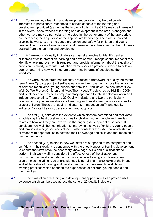



- 4.14 For example, a learning and development provider may be particularly interested in participants' responses to certain aspects of the learning and development provided (as well as the impact of this), while CPCs may be interested in the overall effectiveness of learning and development in the area. Managers and other workers may be particularly interested in: the achievement of the appropriate competences; the acquisition of the appropriate knowledge and skills; improved practice by workers; and increased protection and safety for children and young people. The process of evaluation should measure the achievement of the outcomes desired from the learning and development.
- 4.15 A framework of quality indicators can assist agencies to: identify desired outcomes of child protection learning and development; recognise the impact of this; identify where improvement is required; and provide information about the quality of provision. Similarly, a robust evaluation framework can provide evidence to help an agency determine how well they are performing in terms of developing the workforce.
- 4.16 The Care Inspectorate has recently produced a framework of quality indicators (see Annex 2) to support joint self-evaluation and improvement across the full range of services for children, young people and families. It builds on the document "How Well Do We Protect Children and Meet Their Needs?" published by HMIE in 2009, and is intended to provide a complementary approach to robust self-evaluation and independent scrutiny. There are 22 Quality Indicators and two are particularly relevant to the joint self-evaluation of learning and development across services to protect children. These are: quality indicator 3.1 (impact on staff); and quality indicator 7.2 (staff training, development and support).
- 4.17 The first (3.1) considers the extent to which staff are committed and motivated to achieving the best possible outcomes for children, young people and families. It relates to how well they are involved in the ongoing development of services. It considers how well their contribution to improving the lives of children, young people and families is recognised and valued. It also considers the extent to which staff are provided with opportunities to develop their knowledge and skills and the impact this has on their work.
- 4.18 The second (7.2) relates to how well staff are supported to be competent and confident in their work. It is concerned with the effectiveness of training development to ensure that staff have the necessary knowledge, skills and qualifications to perform their work well. It considers the effectiveness of the strategy and commitment to developing staff and comprehensive training and development programmes including regular and planned joint training. It also looks at the impact and added value of training and development and improvements in skills and working practices which enhance the experiences of children, young people and their families.
- 4.19 The evaluation of learning and development opportunities can provide useful evidence which can be used across the suite of 22 quality indicators.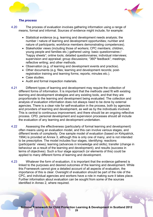<span id="page-32-0"></span>



#### *The process*

4.20 The process of evaluation involves gathering information using a range of means, formal and informal. Sources of evidence might include, for example:

- Statistical evidence (e.g. learning and development needs analysis; the number / nature of learning and development opportunities; number and nature of participants; workforce members demonstrating competences).
- Stakeholder views (including those of workers; CPC members; children, young people and families etc.) gathered using: basic questionnaires / "happy sheets"; online tools; detailed questionnaires; individual interviews; supervision and appraisal; group discussions; "360º feedback"; meetings; reflective writing; and other methods.
- Observation (e.g. of learning and development events and practice).
- Other documents (e.g. files; learning and development records; postregistration training and learning forms; reports; minutes etc.).
- Case studies.
- Audit and formal inspection materials.
- 4.21 Different types of learning and development may require the collection of different forms of information. It is important that the methods used fit with existing learning and development strategies and any existing tools, and that they are proportionate to the learning and development being evaluated. The collection and analysis of evaluation information does not always need to be done by external agencies. There is a clear role for self-evaluation in the process, both by agencies and providers of learning and development, as well as by the individuals involved. This is central to continuous improvement, and there should be an ongoing reflective process. CPD, personal development and supervision processes should all include the evaluation of any learning and development undertaken.
- 4.22 Assessing the effectiveness (particularly of formal learning and development) often means using an evaluation model, and this can involve various stages, and different levels of complexity. One sample model of evaluation (based on Kirkpatrick, 1994) is provided at Annex 3, although this is only one of many, and is not intended to be prescriptive. The model includes four stages, identifying: reactions (participants' views); learning (advances in knowledge and skills); transfer (change in behaviour as a result of the learning and development); and results (success in terms of objectives). Such a four stage approach (or elements of this) could be applied to many different forms of learning and development.
- 4.23 Whatever the form of evaluation, it is important that the evidence gathered is linked to the purposes and desired outcomes of the learning and development. While this Framework cannot give a detailed account of all aspects of evaluation, the importance of this is clear. Oversight of evaluation should be part of the role of the CPC, and individual agencies and workers have a role in making sure it takes place. Further information about evaluation can be sought from some of the sources identified in Annex 2, where required.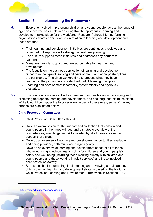<span id="page-33-0"></span>



# **Section 5: Implementing the Framework**

- 5.1 Everyone involved in protecting children and young people, across the range of agencies involved has a role in ensuring that the appropriate learning and development takes place for the workforce. Research<sup>[8](#page-33-0)</sup> shows high-performing organisations share certain features in relation to learning and development and these are that:
	- Their learning and development initiatives are continuously reviewed and refreshed to keep pace with strategic operational planning.
	- The culture supports these initiatives and addresses any barriers to learning.
	- Managers provide support, and are accountable for, learning and development.
	- The focus is on the business application of learning and development rather than the type of learning and development, and appropriate options are considered. This gives workers time to process what they have learned on the job, and is consistent with adult learning principles.
	- Learning and development is formally, systematically and rigorously evaluated.
- 5.2 This final section looks at the key roles and responsibilities in developing and promoting appropriate learning and development, and ensuring that this takes place. While it would be impossible to cover every aspect of these roles, some of the key strands are highlighted below.

#### **Child Protection Committees**

- 5.3 Child Protection Committees should:
	- Have an overall vision for the support and protection that children and young people in their area will get, and a strategic overview of the competences, knowledge and skills needed by all of those involved to support that vision.
	- Develop an overview of learning and development opportunities available and being provided, both multi- and single agency.
	- Develop an overview of learning and development needs of all of those whose work might include responsibility for children and young people's safety and well-being (including those working directly with children and young people and those working in adult services) and those involved in child protection activity.
	- Be responsible for publishing, implementing and reviewing a multi-agency child protection learning and development strategy based on the National Child Protection Learning and Development Framework in Scotland 2012.

 $\overline{a}$ 

<sup>8</sup> [http://www.educationscotland.gov.uk](http://www.educationscotland.gov.uk/)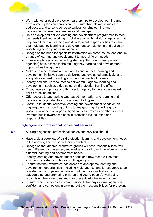<span id="page-34-0"></span>



- Work with other public protection partnerships to develop learning and development plans and provision, to ensure that relevant issues are addressed, and to consider opportunities for joint learning and development where there are links and overlaps.
- Help develop and deliver learning and development programmes to meet the needs identified, working in collaboration with individual agencies that may have their own learning and development responsibilities to ensure that multi-agency learning and development complements and builds on work being done by individual agencies.
- Recognise the need for specialist information on some issues, and ensure a range of learning and development to meet different needs.
- Ensure single agencies (including statutory, third sector and private agencies) have access to the multi-agency learning and development opportunities being offered.
- Make sure mechanisms are in place to ensure local learning and development initiatives can be delivered and evaluated effectively, and are quality assured (including ensuring the quality of trainers).
- Identify and ensure resources to deliver multi-agency learning and development, such as a dedicated child protection training officer.
- Encourage each private and third sector agency to have a designated child protection officer.
- Offer access to appropriate web-based information and learning and development opportunities to agencies of all types.
- Continue to identify collective learning and development needs on an ongoing basis, responding quickly to any gaps highlighted (e.g. by workers, in inspection reports, significant case reviews or other sources).
- Promote public awareness of child protection issues, roles and responsibilities.

#### **Single agencies, professional bodies and services**

- 5.4 All single agencies, professional bodies and services should:
	- Have a clear overview of child protection learning and development needs in the agency, and the opportunities available.
	- Recognise that different workforce groups will have responsibilities, will need different competences, knowledge and skills, and therefore will have different learning and development needs.
	- Identify learning and development needs and how these will be met, ensuring consistency with local multi-agency work.
	- Ensure that their workforce has access to appropriate learning and development opportunities (including multi-agency) and is resourced to be confident and competent in carrying out their responsibilities for safeguarding and promoting children and young people's well-being, recognising their own roles and how these fit into the wider picture.
	- Ensure, where services are commissioned, that any external agency is confident and competent in carrying out their responsibilities for protecting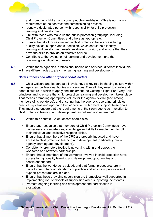<span id="page-35-0"></span>



and promoting children and young people's well-being. (This is normally a requirement of the contract and commissioning process.)

- Identify a designated person with responsibility for child protection learning and development.
- Link with those who make up the public protection groupings, including Child Protection Committees and others as appropriate.
- Ensure that all of those involved in child protection have access to high quality advice, support and supervision, which should help identify learning and development needs, evaluate provision, and ensure that they have the skills to provide an effective service.
- Contribute to the evaluation of learning and development and the continuing identification of needs.
- 5.5 Within these agencies, professional bodies and services, different individuals will have different roles to play in ensuring learning and development.

#### *Chief Officers and other organisational leaders*

- 5.6 Chief Officers and leaders at all levels have a key role in shaping culture within their agencies, professional bodies and services. Overall, they need to create and adopt a culture in which to apply and implement the Getting It Right For Every Child principles and to ensure that child protection learning and development takes place. That means promoting appropriate values for the agency overall (and among members of its workforce), and ensuring that the agency's operating principles, practice, systems and approach to co-operation with others support these goals. They must also ensure that the requirements of their own agencies in relation to child protection learning and development, as outlined above, are met.
- 5.7 Within this context, Chief Officers should also:
	- Ensure and recognise that members of Child Protection Committees have the necessary competences, knowledge and skills to enable them to fulfil their individual and collective responsibilities.
	- Ensure that all members of the CPC are properly inducted and have access to child protection learning and development (particularly multiagency learning and development).
	- Consistently promote effective joint working within and across the workforce and between partnerships.
	- Ensure that all members of the workforce involved in child protection have access to high quality learning and development opportunities and consistent support.
	- Ensure that the workforce is valued, and that formal procedures are in place to promote good standards of practice and ensure supervision and support procedures are in place.
	- Ensure that those providing supervision are themselves well-supported in implementing robust models of supervision when supporting their teams.
	- Promote ongoing learning and development and participation in evaluation.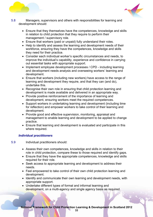<span id="page-36-0"></span>



- 5.8 Managers, supervisors and others with responsibilities for learning and development should:
	- Ensure that they themselves have the competences, knowledge and skills in relation to child protection that they require to perform their management / supervisory role.
	- Ensure that workers (paid or unpaid) fully understand their roles.
	- Help to identify and assess the learning and development needs of their workforce, ensuring they have the competences, knowledge and skills they need for their practice.
	- Consider each individual worker's specific circumstances and needs, to improve the individual's capability, experience and confidence in carrying out essential tasks with appropriate support.
	- Implement employee development processes / CPD including learning and development needs analysis and overseeing workers' learning and development.
	- Ensure that workers (including new workers) have access to the range of learning and development they require, and that they can (and do), undertake this.
	- Recognise their own role in ensuring that child protection learning and development is made available and delivered in an appropriate way.
	- Provide positive reinforcement of the importance of learning and development, ensuring workers meet the required competences.
	- Support workers in undertaking learning and development (including time for reflection) and empower workers to take control of their learning and development.
	- Provide good and effective supervision, monitoring, appraisal and management to enable learning and development to be applied to change practice.
	- Ensure that learning and development is evaluated and participate in this where required.

#### *Individual practitioners*

5.9 Individual practitioners should:

- Assess their own competences, knowledge and skills in relation to their role in child protection, compare these to those required and identify gaps.
- Ensure that they have the appropriate competences, knowledge and skills required for their role.
- Seek access to appropriate learning and development to address their needs.
- Feel empowered to take control of their own child protection learning and development.
- Identify and communicate their own learning and development needs, with appropriate support.
- Undertake different types of formal and informal learning and development, on a multi-agency and single agency basis as required.

**National Framework for Child Protection Learning & Development in Scotland 2012**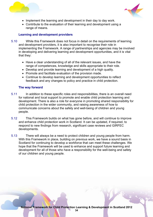<span id="page-37-0"></span>



- Implement the learning and development in their day to day work.
- Contribute to the evaluation of their learning and development using a range of means.

#### **Learning and development providers**

- 5.10 While this Framework does not focus in detail on the requirements of learning and development providers, it is also important to recognise their role in implementing the Framework. A range of partnerships and agencies may be involved in developing and delivering learning and development opportunities, and it is vital that they:
	- Have a clear understanding of all of the relevant issues, and have the range of competences, knowledge and skills appropriate to their role.
	- Develop and provide learning and development of a high quality.
	- Promote and facilitate evaluation of the provision made.
	- Continue to develop learning and development opportunities to reflect feedback and any changes to policy and practice in child protection.

#### **The way forward**

- 5.11 In addition to these specific roles and responsibilities, there is an overall need for national and local support to promote and enable child protection learning and development. There is also a role for everyone in promoting shared responsibility for child protection in the wider community, and raising awareness of how to communicate concerns about the safety and well-being of children and young people.
- 5.12 This Framework builds on what has gone before, and will continue to improve and enhance child protection work in Scotland. It can be updated, if required, to respond to new findings from research, significant case reviews and GIRFEC developments.
- 5.13 There will always be a need to protect children and young people from harm. With this Framework in place, building on previous work, we have a sound basis in Scotland for continuing to develop a workforce that can meet these challenges. We hope that the Framework will be used to enhance and support future learning and development for all of those who have a responsibility for the well-being and safety of our children and young people.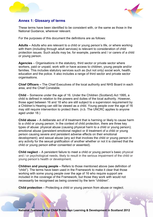



#### **Annex 1: Glossary of terms**

These terms have been identified to be consistent with, or the same as those in the National Guidance, wherever relevant.

For the purposes of this document the definitions are as follows:

**Adults –** Adults who are relevant to a child or young person's life, or where working with them (including through adult services) is relevant to consideration of child protection issues. Such adults may be, for example, parents and / or carers of a child or young person.

**Agencies** – Organisations in the statutory, third sector or private sector where workers, paid or unpaid, work with or have access to children, young people and/or families. This includes statutory services such as (but not only) social work, health, education and the police. It also includes a range of third sector and private sector organisations.

**Chief Officers –** The Chief Executives of the local authority and NHS Board in each area, and the Chief Constable.

**Child** – Someone under the age of 16. Under the Children (Scotland) Act 1995, a child is defined in relation to the powers and duties of the local authority. However, those aged between 16 and 18 who are still subject to a supervision requirement by a Children's Hearing can still be viewed as a child. Young people over the age of 16 may still require intervention to protect them. (n.b. The UNCRC applies to anyone aged under 18.)

**Child abuse** – A deliberate act of ill treatment that is harming or likely to cause harm to a child or young person. In the context of child protection, there are three key types of abuse: physical abuse (causing physical harm to a child or young person); emotional abuse (persistent emotional neglect or ill treatment of a child or young person causing severe and persistent adverse effects on their emotional development); and sexual abuse (any act that involves the child or young person in any activity for the sexual gratification of another whether or not it is claimed that the child or young person either consented or assented).

**Child neglect** – A persistent failure to meet a child or young person's basic physical and / or psychological needs, likely to result in the serious impairment of the child or young person's health or development.

**Children and young people –** Refers to those mentioned above (see definition of "child"). The terms have been used in the Framework to make it clear that those working with some young people over the age of 16 who require support are included in the coverage of the Framework, but those they work with would not necessarily be recognised as being covered by the term "children".

**Child protection** – Protecting a child or young person from abuse or neglect.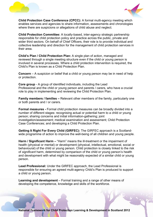



**Child Protection Case Conference (CPCC):** A formal multi-agency meeting which enables services and agencies to share information, assessments and chronologies where there are suspicions or allegations of child abuse and neglect.

**Child Protection Committee:** A locally-based, inter-agency strategic partnership responsible for child protection policy and practice across the public, private and wider third sectors. On behalf of Chief Officers, their role is to provide individual and collective leadership and direction for the management of child protection services in their area.

**Child's Plan / Child Protection Plan:** A single plan of action, managed and reviewed through a single meeting structure even if the child or young person is involved in several processes. Where a child protection intervention is required, the Child's Plan is known as a Child Protection Plan.

**Concern** – A suspicion or belief that a child or young person may be in need of help or protection.

**Core group** - A group of identified individuals, including the Lead Professional and the child or young person and parents / carers, who have a crucial role to play in implementing and reviewing the Child Protection Plan.

**Family members / families –** Relevant other members of the family, particularly one or both parents and / or carers.

**Formal measures -** Formal child protection measures can be broadly divided into a number of different stages: recognising actual or potential harm to a child or young person; sharing concerns and initial information-gathering; joint investigation/assessment; medical examination and assessment; Child Protection Case Conferences; and developing a Child Protection Plan.

**Getting It Right For Every Child (GIRFEC):** The GIRFEC approach is a Scotlandwide programme of action to improve the well-being of all children and young people.

**Harm / Significant Harm – "Harm" means the ill-treatment or the impairment of** health (physical or mental) or development (physical, intellectual, emotional, social or behavioural) of the child or young person. Child protection is closely linked to the risk of *significant* harm, determined by comparison of the child or young person's health and development with what might be reasonably expected of a similar child or young person.

**Lead Professional:** Under the GIRFEC approach, the Lead Professional is responsible for ensuring an agreed multi-agency Child's Plan is produced to support a child or young person.

**Learning and development** – Formal training and a range of other means of developing the competence, knowledge and skills of the workforce.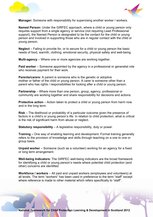



**Manager:** Someone with responsibility for supervising another worker / workers.

**Named Person:** Under the GIRFEC approach, where a child or young person only requires support from a single agency or service (not requiring Lead Professional support), the Named Person is designated to be the contact for the child or young person and involved in supporting those who are in regular contact with the child or young person.

**Neglect** – Failing to provide for, or to secure for a child or young person the basic needs of food, warmth, clothing, emotional security, physical safety and well-being.

**Multi-agency** – Where one or more agencies are working together.

**Paid worker** – Someone appointed by the agency in a professional or generalist role who receives payment for their work.

**Parents/carers:** A parent is someone who is the genetic or adoptive mother or father of the child or young person. A carer is someone other than a parent who has rights / responsibilities for looking after a child or young person.

**Partnership** – Where more than one person, group, agency, professional or community are working together and share responsibility for decisions and actions.

**Protective action** – Action taken to protect a child or young person from harm now and in the long term.

**Risk** – The likelihood or probability of a particular outcome given the presence of factors in a child's or young person's life. In relation to child protection, what is critical is the risk of significant harm from abuse or neglect.

**Statutory responsibility** – A legislative responsibility, duty or power.

**Training –** One way of enabling learning and development. Formal training generally refers to the provision of knowledge and skills through teaching on a one to one or group basis.

**Unpaid worker** – Someone (such as a volunteer) working for an agency for a fixed or long term arrangement.

**Well-being Indicators:** The GIRFEC well-being indicators are the broad framework for identifying a child or young person's needs where potential child protection (and other) concerns are identified.

**Workforce / workers** – All paid and unpaid workers (employees and volunteers) at all levels. The term "workers" has been used in preference to the term "staff" except where reference is made to other material which refers specifically to "staff".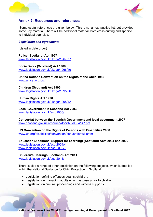



### **Annex 2: Resources and references**

 Some useful references are given below. This is not an exhaustive list, but provides some key material. There will be additional material, both cross-cutting and specific to individual agencies.

#### *Legislation and agreements*

(Listed in date order)

**Police (Scotland) Act 1967**  [www.legislation.gov.uk/ukpga/1967/77](http://www.legislation.gov.uk/ukpga/1967/77)

**Social Work (Scotland) Act 1968** [www.legislation.gov.uk/ukpga/1968/49](http://www.legislation.gov.uk/ukpga/1968/49)

**United Nations Convention on the Rights of the Child 1989**  [www.unicef.org/crc/](http://www.unicef.org/crc/) 

**Children (Scotland) Act 1995** [www.legislation.gov.uk/ukpga/1995/36](http://www.legislation.gov.uk/ukpga/1995/36)

**Human Rights Act 1998**  [www.legislation.gov.uk/ukpga/1998/42](http://www.legislation.gov.uk/ukpga/1998/42)

**Local Government in Scotland Act 2003**  [www.legislation.gov.uk/asp/2003/1](http://www.legislation.gov.uk/asp/2003/1)

**Concordat between the Scottish Government and local government 2007** 

[www.scotland.gov.uk/resource/doc/923/0054147.pdf](http://www.scotland.gov.uk/resource/doc/923/0054147.pdf) 

**UN Convention on the Rights of Persons with Disabilities 2008**  [www.un.org/disabilities/convention/conventionfull.shtml](http://www.un.org/disabilities/convention/conventionfull.shtml)

**Education (Additional Support for Learning) (Scotland) Acts 2004 and 2009**  [www.legislation.gov.uk/asp/2004/4](http://www.legislation.gov.uk/asp/2004/4) [www.legislation.gov.uk/asp/2009/7](http://www.legislation.gov.uk/asp/2009/7)

#### **Children's Hearings (Scotland) Act 2011**

[www.legislation.gov.uk/asp/2011/1](http://www.legislation.gov.uk/asp/2011/1)

There is also a range of other legislation on the following subjects, which is detailed within the National Guidance for Child Protection in Scotland:

- Legislation defining offences against children.
- Legislation on managing adults who may pose a risk to children.
- Legislation on criminal proceedings and witness supports.

**National Framework for Child Protection Learning & Development in Scotland 2012**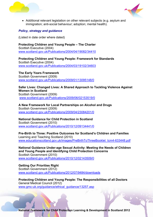



• Additional relevant legislation on other relevant subjects (e.g. asylum and immigration; anti-social behaviour; adoption; mental health).

#### *Policy, strategy and guidance*

(Listed in date order where dated)

**Protecting Children and Young People – The Charter**  Scottish Executive (2004) [www.scotland.gov.uk/Publications/2004/04/19082/34410](http://www.scotland.gov.uk/Publications/2004/04/19082/34410) 

**Protecting Children and Young People: Framework for Standards**  Scottish Executive (2004) [www.scotland.gov.uk/Publications/2004/03/19102/34603](http://www.scotland.gov.uk/Publications/2004/03/19102/34603) 

**The Early Years Framework**  Scottish Government (2009) [www.scotland.gov.uk/Publications/2009/01/13095148/0](http://www.scotland.gov.uk/Publications/2009/01/13095148/0)

#### **Safer Lives: Changed Lives: A Shared Approach to Tackling Violence Against Women in Scotland**

Scottish Government (2009) [www.scotland.gov.uk/Publications/2009/06/02153519/0](http://www.scotland.gov.uk/Publications/2009/06/02153519/0) 

**A New Framework for Local Partnerships on Alcohol and Drugs**  Scottish Government (2009) [www.scotland.gov.uk/Publications/2009/04/23084201/0](http://www.scotland.gov.uk/Publications/2009/04/23084201/0)

# **National Guidance for Child Protection in Scotland**

Scottish Government (2010) [www.scotland.gov.uk/Publications/2010/12/09134441/0](http://www.scotland.gov.uk/Publications/2010/12/09134441/0)

**Pre-Birth to Three: Positive Outcomes for Scotland's Children and Families**  Learning and Teaching Scotland (2010) www.educationscotland.gov.uk/images/PreBirthToThreeBooklet\_tcm4-633448.pdf

**National Guidance Under-age Sexual Activity: Meeting the Needs of Children and Young People and Identifying Child Protection Concerns**  Scottish Government (2010) [www.scotland.gov.uk/Publications/2010/12/02143509/0](http://www.scotland.gov.uk/Publications/2010/12/02143509/0)

**Getting Our Priorities Right**  Scottish Government (2012) [www.scotland.gov.uk/Publications/2012/07/9484/downloads](http://www.scotland.gov.uk/Publications/2012/07/9484/downloads)

**Protecting Children and Young People: The Responsibilities of all Doctors**  General Medical Council (2012) [www.gmc-uk.org/guidance/ethical\\_guidance/13257.asp](http://www.gmc-uk.org/guidance/ethical_guidance/13257.asp)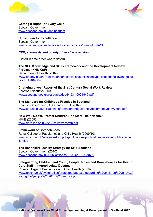



**Getting It Right For Every Child**  Scottish Government [www.scotland.gov.uk/gettingitright](http://www.scotland.gov.uk/gettingitright)

**Curriculum for Excellence**  Scottish Government [www.scotland.gov.uk/topics/education/schools/curriculum/ACE](http://www.scotland.gov.uk/topics/education/schools/curriculum/ACE)

#### *CPD, standards and quality of service provision*

(Listed in date order where dated)

**The NHS Knowledge and Skills Framework and the Development Review Process (NHS KSF)**  Department of Health (2004) [www.dh.gov.uk/en/Publicationsandstatistics/publications/publicationspolicyandguida](http://www.dh.gov.uk/en/Publicationsandstatistics/publications/publicationspolicyandguidance/DH_4090843) [nce/DH\\_4090843](http://www.dh.gov.uk/en/Publicationsandstatistics/publications/publicationspolicyandguidance/DH_4090843)

**Changing Lives: Report of the 21st Century Social Work Review**  Scottish Executive (2006)

[www.scotland.gov.uk/resource/doc/91931/0021949.pdf](http://www.scotland.gov.uk/resource/doc/91931/0021949.pdf)

#### **The Standard for Childhood Practice in Scotland**

Scottish Government, QAA and SSSC (2007) [www.qaa.ac.uk/publications/informationandguidance/documents/earlyyears.pdf](http://www.qaa.ac.uk/publications/informationandguidance/documents/earlyyears.pdf)

**How Well Do We Protect Children And Meet Their Needs?** 

HMIE (2009) [www.dera.ioe.ac.uk/223/1/hwdwpcamtn.pdf](http://www.dera.ioe.ac.uk/223/1/hwdwpcamtn.pdf)

#### **Framework of Competences**

Royal College of Paediatrics and Child Health (2009/10) [www.rcpch.ac.uk/what-we-do/rcpch-publications/publications-list-title/ publications](http://www.rcpch.ac.uk/what-we-do/rcpch-publications/publications-list-title/%20publications-list-title)[list-title](http://www.rcpch.ac.uk/what-we-do/rcpch-publications/publications-list-title/%20publications-list-title)

#### **The Healthcare Quality Strategy for NHS Scotland**

Scottish Government (2010) [www.scotland.gov.uk/Publications/2010/05/10102307/0](http://www.scotland.gov.uk/Publications/2010/05/10102307/0)

#### **Safeguarding Children and Young People: Roles and Competences for Health Care Staff – Intercollegiate Document**

Royal College of Paediatrics and Child Health (2010) [www.rcpch.ac.uk/system/files/protected/page/safeguarding%20children%20and%20](http://www.rcpch.ac.uk/system/files/protected/page/safeguarding%20children%20and%20young%20people%202010%20final_v2.pdf) [young%20people%202010%20final\\_v2.pdf](http://www.rcpch.ac.uk/system/files/protected/page/safeguarding%20children%20and%20young%20people%202010%20final_v2.pdf)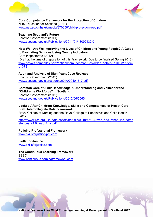



**Core Competency Framework for the Protection of Children**  NHS Education for Scotland (2011) [www.nes.scot.nhs.uk/media/370658/child-protection-web.pdf](http://www.nes.scot.nhs.uk/media/370658/child-protection-web.pdf) 

**Teaching Scotland's Future**  Scottish Government (2011) [www.scotland.gov.uk/Publications/2011/01/13092132/0](http://www.scotland.gov.uk/Publications/2011/01/13092132/0)

#### **How Well Are We Improving the Lives of Children and Young People? A Guide to Evaluating Services Using Quality Indicators**

Care Inspectorate (2012) (Draft at the time of preparation of this Framework. Due to be finalised Spring 2013) [www.scswis.com/index.php?option=com\\_docman&task=doc\\_details&gid=831&itemi](http://www.scswis.com/index.php?option=com_docman&task=doc_details&gid=831&itemid=378) [d=378](http://www.scswis.com/index.php?option=com_docman&task=doc_details&gid=831&itemid=378) 

# **Audit and Analysis of Significant Case Reviews**  Scottish Government (2012)

[www.scotland.gov.uk/resource/0040/00404517.pdf](http://www.scotland.gov.uk/resource/0040/00404517.pdf)

#### **Common Core of Skills, Knowledge & Understanding and Values for the "Children's Workforce" in Scotland**

Scottish Government (2012) [www.scotland.gov.uk/Publications/2012/06/5565](http://www.scotland.gov.uk/Publications/2012/06/5565)

#### **Looked After Children: Knowledge, Skills and Competences of Health Care Staff. Intercollegiate Role Framework**

Royal College of Nursing and the Royal College of Paediatrics and Child Health (2012)

[https://www.rcn.org.uk/\\_data/assets/pdf\\_file/0019/451342/rcn\\_and\\_rcpch\\_lac\\_comp](https://www.rcn.org.uk/_data/assets/pdf_file/0019/451342/rcn_and_rcpch_lac_competences_v1.0_web_final.pdf) etences\_v1.0\_web\_final.pdf

#### **Policing Professional Framework**

[www.skillsforjustice-ppf.com](http://www.skillsforjustice-ppf.com/)

**Skills for Justice**  [www.skillsforjustice.com](http://www.skillsforjustice.com/)

**The Continuous Learning Framework SSSC** [www.continuouslearningframework.com](http://www.continuouslearningframework.com/)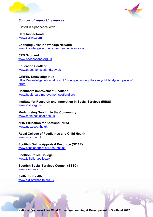



#### *Sources of support / resources*

(Listed in alphabetical order)

**Care Inspectorate**  [www.scswis.com](http://www.scswis.com/) 

**Changing Lives Knowledge Network**  [www.knowledge.scot.nhs.uk/changinglives.aspx](http://www.knowledge.scot.nhs.uk/changinglives.aspx)

**CPD Scotland**  [www.cpdscotland.org.uk](http://www.cpdscotland.org.uk/)

**Education Scotland**  [www.educationscotland.gov.uk](http://www.educationscotland.gov.uk/) 

**GIRFEC Knowledge Hub**  [https://knowledgehub.local.gov.uk/group/gettingitrightforeverychildandyoungperson/f](https://knowledgehub.local.gov.uk/group/gettingitrightforeverychildandyoungperson/forum) [orum](https://knowledgehub.local.gov.uk/group/gettingitrightforeverychildandyoungperson/forum)

**Healthcare Improvement Scotland**  [www.healthcareimprovementscotland.org](http://www.healthcareimprovementscotland.org/)

**Institute for Research and Innovation in Social Services (IRISS)**  [www.iriss.org.uk](http://www.iriss.org.uk/)

**Modernising Nursing in the Community**  [www.mnic.nes.scot.nhs.uk](http://www.mnic.nes.scot.nhs.uk/)

**NHS Education for Scotland (NES)**  [www.nes.scot.nhs.uk](http://www.nes.scot.nhs.uk/) 

**Royal College of Paediatrics and Child Health**  [www.rcpch.ac.uk](http://www.rcpch.ac.uk/) 

**Scottish Online Appraisal Resource (SOAR)**  [www.scottishappraisal.scot.nhs.uk](http://www.scottishappraisal.scot.nhs.uk/)

**Scottish Police College**  [www.tulliallan.police.uk](http://www.tulliallan.police.uk/)

**Scottish Social Services Council (SSSC)**  [www.sssc.uk.com](http://www.sssc.uk.com/)

**Skills for Health**  [www.skillsforhealth.org.uk](http://www.skillsforhealth.org.uk/) 

**National Framework for Child Protection Learning & Development in Scotland 2012**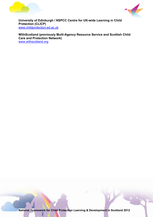



**University of Edinburgh / NSPCC Centre for UK-wide Learning in Child Protection (CLICP)**  [www.childprotection.ed.ac.uk](http://www.childprotection.ed.ac.uk/)

**WithScotland (previously Multi-Agency Resource Service and Scottish Child Care and Protection Network)**  [www.withscotland.org](http://www.withscotland.org/)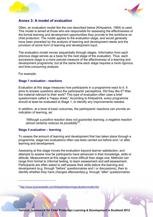<span id="page-47-0"></span>



## **Annex 3: A model of evaluation**

Often, an evaluation model like the one described below (Kirkpatrick, 1994) is used. This model is aimed at those who are responsible for assessing the effectiveness of the formal learning and development opportunities they provide to the workforce on child protection. The model applies to the evaluation stage, and would generally have been preceded by the analysis of learning and development needs and the provision of some form of learning and development input.

The evaluation model moves sequentially through stages. Information from each previous stage serves as a base for the next stage of the evaluation. Thus, each successive stage is a more precise measure of the effectiveness of a learning and development programme, but at the same time each stage requires a more rigorous and time-consuming analysis.

For example:

 $\overline{a}$ 

#### **Stage 1 evaluation - reactions**

Evaluation at this stage measures how participants in a programme react to it. It aims to answer questions about the participants' perceptions. Did they like it? Was the material relevant to their work? This type of evaluation often uses a brief questionnaire called a "happy sheet." According to Kirkpatrick, every programme should at least be evaluated at Stage 1, to identify any improvements needed.

In addition, at a level of basic outcomes, the participants' reactions can provide an indication of learning, as:

*"Although a positive reaction does not guarantee learning, a negative reaction almost certainly reduces its possibility[9](#page-47-0) ".* 

#### **Stage 2 evaluation – learning**

To assess the amount of learning and development that has taken place through a programme, stage two evaluations often use tests carried out before and / or after learning and development.

Assessing at this stage moves the evaluation beyond learner satisfaction, and attempts to assess how far participants have advanced in their knowledge, skills or attitude. Measurement at this stage is more difficult than stage one. Methods can range from formal to informal testing, to team assessment and self-assessment. Participants are often asked to self-assess their skills before the learning and development (e.g. through "before" questionnaires and / or discussions), then to identify whether they have changed afterwards(e.g. through "after" questionnaires

<sup>9</sup> <http://www.businessballs.com/kirkpatricklearningevaluationmodel.htm>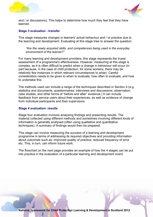



and / or discussions). This helps to determine how much they feel that they have learned.

#### **Stage 3 evaluation - transfer**

This stage measures changes in learners' actual behaviour and / or practice due to the learning and development. Evaluating at this stage tries to answer the question:

*"Are the newly acquired skills, and competences being used in the everyday environment of the learner?"* 

For many learning and development providers, this stage represents the truest assessment of a programme's effectiveness. However, measuring at this stage is complex, as it is often difficult to predict when a change in behaviour will occur (in part because, in the case of child protection, for some workers, there may be relatively few instances in which relevant circumstances to arise). Careful consideration needs to be given to when to evaluate, how often to evaluate, and how to undertake this.

The methods used can include a range of the techniques described in Section 4 (e.g. statistics and documents; questionnaires; interviews and discussions; observation; case studies; and other forms of "before and after" evidence.) It can include feedback from service users about their experiences, as well as evidence of change from individual participants and their supervisors.

#### **Stage 4 evaluation- results**

Stage four evaluation involves analysing findings and presenting results. The material collected using different methods and sometimes involving different kinds of information is generally analysed (often using qualitative and quantitative techniques). A summary of findings would then be prepared.

This stage can involve measuring the success of a learning and development programme in terms of addressing its required objectives and providing information about outcomes such as: improved quality of practice; reduced frequency of error etc. This, in turn, can inform future work.

The flowchart on the next page provides an example of how the 4 stages can be put into practice in the evaluation of a particular learning and development event.